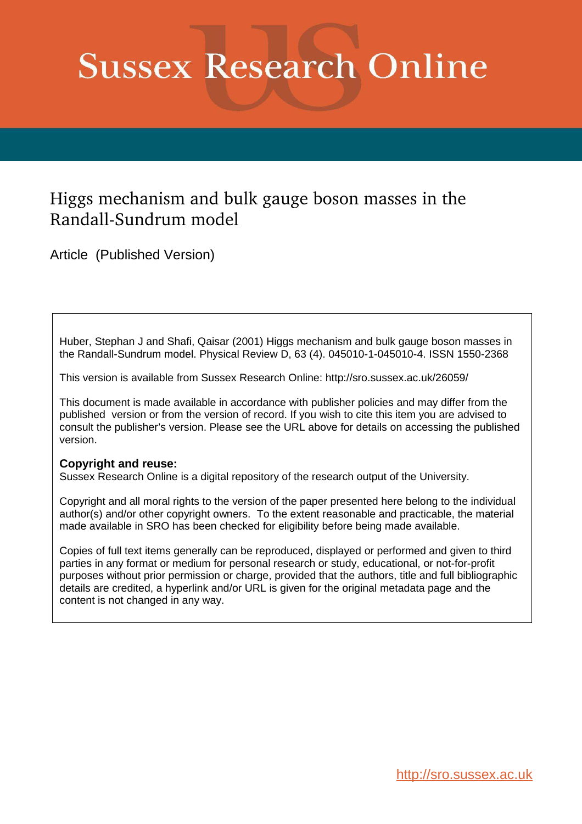## **Sussex Research Online**

## Higgs mechanism and bulk gauge boson masses in the Randall-Sundrum model

Article (Published Version)

Huber, Stephan J and Shafi, Qaisar (2001) Higgs mechanism and bulk gauge boson masses in the Randall-Sundrum model. Physical Review D, 63 (4). 045010-1-045010-4. ISSN 1550-2368

This version is available from Sussex Research Online: http://sro.sussex.ac.uk/26059/

This document is made available in accordance with publisher policies and may differ from the published version or from the version of record. If you wish to cite this item you are advised to consult the publisher's version. Please see the URL above for details on accessing the published version.

## **Copyright and reuse:**

Sussex Research Online is a digital repository of the research output of the University.

Copyright and all moral rights to the version of the paper presented here belong to the individual author(s) and/or other copyright owners. To the extent reasonable and practicable, the material made available in SRO has been checked for eligibility before being made available.

Copies of full text items generally can be reproduced, displayed or performed and given to third parties in any format or medium for personal research or study, educational, or not-for-profit purposes without prior permission or charge, provided that the authors, title and full bibliographic details are credited, a hyperlink and/or URL is given for the original metadata page and the content is not changed in any way.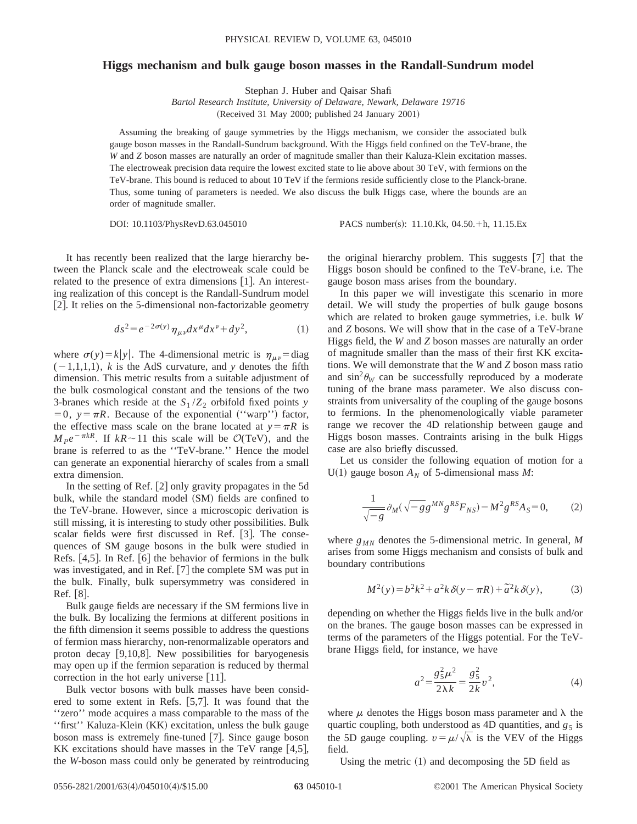## **Higgs mechanism and bulk gauge boson masses in the Randall-Sundrum model**

Stephan J. Huber and Qaisar Shafi

*Bartol Research Institute, University of Delaware, Newark, Delaware 19716* (Received 31 May 2000; published 24 January 2001)

Assuming the breaking of gauge symmetries by the Higgs mechanism, we consider the associated bulk gauge boson masses in the Randall-Sundrum background. With the Higgs field confined on the TeV-brane, the *W* and *Z* boson masses are naturally an order of magnitude smaller than their Kaluza-Klein excitation masses. The electroweak precision data require the lowest excited state to lie above about 30 TeV, with fermions on the TeV-brane. This bound is reduced to about 10 TeV if the fermions reside sufficiently close to the Planck-brane. Thus, some tuning of parameters is needed. We also discuss the bulk Higgs case, where the bounds are an order of magnitude smaller.

DOI: 10.1103/PhysRevD.63.045010 PACS number(s): 11.10.Kk, 04.50.+h, 11.15.Ex

It has recently been realized that the large hierarchy between the Planck scale and the electroweak scale could be related to the presence of extra dimensions  $[1]$ . An interesting realization of this concept is the Randall-Sundrum model [2]. It relies on the 5-dimensional non-factorizable geometry

$$
ds^{2} = e^{-2\sigma(y)} \eta_{\mu\nu} dx^{\mu} dx^{\nu} + dy^{2}, \qquad (1)
$$

where  $\sigma(y) = k|y|$ . The 4-dimensional metric is  $\eta_{\mu\nu} = \text{diag}$  $(-1,1,1,1)$ , *k* is the AdS curvature, and *y* denotes the fifth dimension. This metric results from a suitable adjustment of the bulk cosmological constant and the tensions of the two 3-branes which reside at the  $S_1/Z_2$  orbifold fixed points *y*  $=0, y = \pi R$ . Because of the exponential ("warp") factor, the effective mass scale on the brane located at  $y = \pi R$  is  $M_P e^{-\pi kR}$ . If  $kR \sim 11$  this scale will be  $\mathcal{O}(TeV)$ , and the brane is referred to as the ''TeV-brane.'' Hence the model can generate an exponential hierarchy of scales from a small extra dimension.

In the setting of Ref.  $[2]$  only gravity propagates in the 5d bulk, while the standard model (SM) fields are confined to the TeV-brane. However, since a microscopic derivation is still missing, it is interesting to study other possibilities. Bulk scalar fields were first discussed in Ref. [3]. The consequences of SM gauge bosons in the bulk were studied in Refs.  $[4,5]$ . In Ref.  $[6]$  the behavior of fermions in the bulk was investigated, and in Ref.  $[7]$  the complete SM was put in the bulk. Finally, bulk supersymmetry was considered in Ref.  $\lceil 8 \rceil$ .

Bulk gauge fields are necessary if the SM fermions live in the bulk. By localizing the fermions at different positions in the fifth dimension it seems possible to address the questions of fermion mass hierarchy, non-renormalizable operators and proton decay  $[9,10,8]$ . New possibilities for baryogenesis may open up if the fermion separation is reduced by thermal correction in the hot early universe  $|11|$ .

Bulk vector bosons with bulk masses have been considered to some extent in Refs.  $[5,7]$ . It was found that the ''zero'' mode acquires a mass comparable to the mass of the "first" Kaluza-Klein (KK) excitation, unless the bulk gauge boson mass is extremely fine-tuned  $[7]$ . Since gauge boson KK excitations should have masses in the TeV range  $[4,5]$ , the *W*-boson mass could only be generated by reintroducing the original hierarchy problem. This suggests  $[7]$  that the Higgs boson should be confined to the TeV-brane, i.e. The gauge boson mass arises from the boundary.

In this paper we will investigate this scenario in more detail. We will study the properties of bulk gauge bosons which are related to broken gauge symmetries, i.e. bulk *W* and *Z* bosons. We will show that in the case of a TeV-brane Higgs field, the *W* and *Z* boson masses are naturally an order of magnitude smaller than the mass of their first KK excitations. We will demonstrate that the *W* and *Z* boson mass ratio and  $\sin^2\theta_W$  can be successfully reproduced by a moderate tuning of the brane mass parameter. We also discuss constraints from universality of the coupling of the gauge bosons to fermions. In the phenomenologically viable parameter range we recover the 4D relationship between gauge and Higgs boson masses. Contraints arising in the bulk Higgs case are also briefly discussed.

Let us consider the following equation of motion for a U(1) gauge boson  $A_N$  of 5-dimensional mass  $M$ :

$$
\frac{1}{\sqrt{-g}} \partial_M (\sqrt{-g} g^{MN} g^{RS} F_{NS}) - M^2 g^{RS} A_S = 0, \tag{2}
$$

where  $g_{MN}$  denotes the 5-dimensional metric. In general, M arises from some Higgs mechanism and consists of bulk and boundary contributions

$$
M2(y) = b2k2 + a2k \delta(y - \pi R) + \tilde{a}2k \delta(y),
$$
 (3)

depending on whether the Higgs fields live in the bulk and/or on the branes. The gauge boson masses can be expressed in terms of the parameters of the Higgs potential. For the TeVbrane Higgs field, for instance, we have

$$
a^2 = \frac{g_5^2 \mu^2}{2\lambda k} = \frac{g_5^2}{2k} v^2,
$$
 (4)

where  $\mu$  denotes the Higgs boson mass parameter and  $\lambda$  the quartic coupling, both understood as 4D quantities, and  $g_5$  is the 5D gauge coupling.  $v = \mu/\sqrt{\lambda}$  is the VEV of the Higgs field.

Using the metric  $(1)$  and decomposing the 5D field as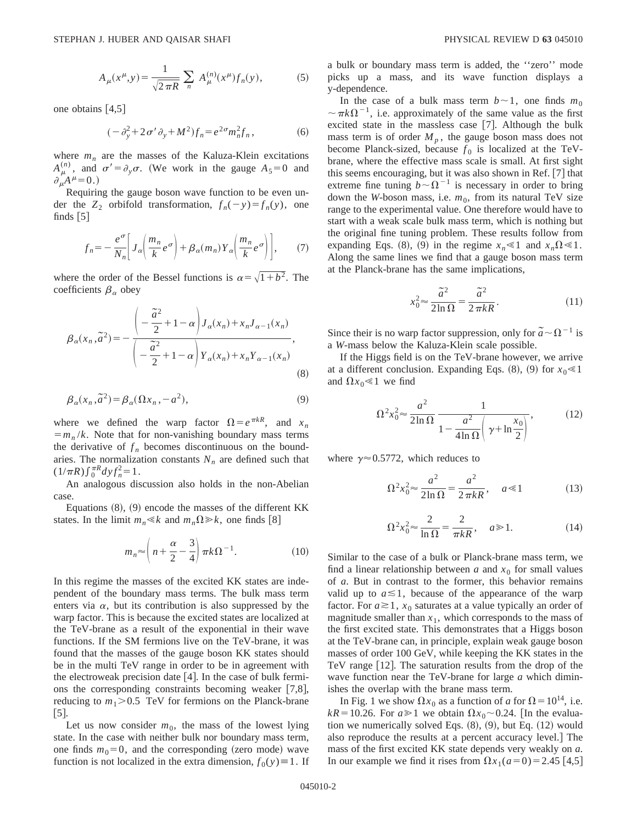$$
A_{\mu}(x^{\mu}, y) = \frac{1}{\sqrt{2\pi R}} \sum_{n} A_{\mu}^{(n)}(x^{\mu}) f_{n}(y),
$$
 (5)

one obtains  $[4,5]$ 

$$
(-\partial_y^2 + 2\sigma'\partial_y + M^2)f_n = e^{2\sigma}m_n^2f_n,\tag{6}
$$

where  $m<sub>n</sub>$  are the masses of the Kaluza-Klein excitations  $A_{\mu}^{(n)}$ , and  $\sigma' = \partial_y \sigma$ . (We work in the gauge  $A_5 = 0$  and  $\partial_\mu A^\mu = 0.$ )

Requiring the gauge boson wave function to be even under the  $Z_2$  orbifold transformation,  $f_n(-y) = f_n(y)$ , one finds  $\begin{bmatrix} 5 \end{bmatrix}$ 

$$
f_n = -\frac{e^{\sigma}}{N_n} \bigg[ J_\alpha \bigg( \frac{m_n}{k} e^{\sigma} \bigg) + \beta_\alpha (m_n) Y_\alpha \bigg( \frac{m_n}{k} e^{\sigma} \bigg) \bigg],\tag{7}
$$

where the order of the Bessel functions is  $\alpha = \sqrt{1+b^2}$ . The coefficients  $\beta_\alpha$  obey

$$
\beta_{\alpha}(x_n, \tilde{a}^2) = -\frac{\left(-\frac{\tilde{a}^2}{2} + 1 - \alpha\right)J_{\alpha}(x_n) + x_n J_{\alpha-1}(x_n)}{\left(-\frac{\tilde{a}^2}{2} + 1 - \alpha\right)Y_{\alpha}(x_n) + x_n Y_{\alpha-1}(x_n)},
$$
\n(8)

$$
\beta_{\alpha}(x_n, \tilde{a}^2) = \beta_{\alpha}(\Omega x_n, -a^2),\tag{9}
$$

where we defined the warp factor  $\Omega = e^{\pi kR}$ , and  $x_n$  $=m_n/k$ . Note that for non-vanishing boundary mass terms the derivative of  $f_n$  becomes discontinuous on the boundaries. The normalization constants  $N<sub>n</sub>$  are defined such that  $(1/\pi R)\int_0^{\pi R} dy f_n^2 = 1.$ 

An analogous discussion also holds in the non-Abelian case.

Equations  $(8)$ ,  $(9)$  encode the masses of the different KK states. In the limit  $m_n \le k$  and  $m_n \Omega \ge k$ , one finds [8]

$$
m_n \approx \left(n + \frac{\alpha}{2} - \frac{3}{4}\right) \pi k \Omega^{-1}.
$$
 (10)

In this regime the masses of the excited KK states are independent of the boundary mass terms. The bulk mass term enters via  $\alpha$ , but its contribution is also suppressed by the warp factor. This is because the excited states are localized at the TeV-brane as a result of the exponential in their wave functions. If the SM fermions live on the TeV-brane, it was found that the masses of the gauge boson KK states should be in the multi TeV range in order to be in agreement with the electroweak precision date  $[4]$ . In the case of bulk fermions the corresponding constraints becoming weaker  $[7,8]$ , reducing to  $m_1$ >0.5 TeV for fermions on the Planck-brane  $\lfloor 5 \rfloor$ .

Let us now consider  $m_0$ , the mass of the lowest lying state. In the case with neither bulk nor boundary mass term, one finds  $m_0=0$ , and the corresponding (zero mode) wave function is not localized in the extra dimension,  $f_0(y) \equiv 1$ . If a bulk or boundary mass term is added, the ''zero'' mode picks up a mass, and its wave function displays a y-dependence.

In the case of a bulk mass term  $b \sim 1$ , one finds  $m_0$  $\sim \pi k \Omega^{-1}$ , i.e. approximately of the same value as the first excited state in the massless case  $[7]$ . Although the bulk mass term is of order  $M_p$ , the gauge boson mass does not become Planck-sized, because  $f_0$  is localized at the TeVbrane, where the effective mass scale is small. At first sight this seems encouraging, but it was also shown in Ref.  $[7]$  that extreme fine tuning  $b \sim \Omega^{-1}$  is necessary in order to bring down the *W*-boson mass, i.e.  $m_0$ , from its natural TeV size range to the experimental value. One therefore would have to start with a weak scale bulk mass term, which is nothing but the original fine tuning problem. These results follow from expanding Eqs. (8), (9) in the regime  $x_n \le 1$  and  $x_n \Omega \le 1$ . Along the same lines we find that a gauge boson mass term at the Planck-brane has the same implications,

$$
x_0^2 \approx \frac{\tilde{a}^2}{2\ln\Omega} = \frac{\tilde{a}^2}{2\pi kR}.
$$
 (11)

Since their is no warp factor suppression, only for  $\tilde{a} \sim \Omega^{-1}$  is a *W*-mass below the Kaluza-Klein scale possible.

If the Higgs field is on the TeV-brane however, we arrive at a different conclusion. Expanding Eqs.  $(8)$ ,  $(9)$  for  $x_0 \le 1$ and  $\Omega x_0 \ll 1$  we find

$$
\Omega^2 x_0^2 \approx \frac{a^2}{2\ln\Omega} \frac{1}{1 - \frac{a^2}{4\ln\Omega} \left(\gamma + \ln\frac{x_0}{2}\right)},\tag{12}
$$

where  $\gamma \approx 0.5772$ , which reduces to

$$
\Omega^2 x_0^2 \approx \frac{a^2}{2\ln\Omega} = \frac{a^2}{2\pi kR}, \quad a \ll 1
$$
 (13)

$$
\Omega^2 x_0^2 \approx \frac{2}{\ln \Omega} = \frac{2}{\pi kR}, \quad a \gg 1.
$$
 (14)

Similar to the case of a bulk or Planck-brane mass term, we find a linear relationship between  $a$  and  $x_0$  for small values of *a*. But in contrast to the former, this behavior remains valid up to  $a \le 1$ , because of the appearance of the warp factor. For  $a \ge 1$ ,  $x_0$  saturates at a value typically an order of magnitude smaller than  $x_1$ , which corresponds to the mass of the first excited state. This demonstrates that a Higgs boson at the TeV-brane can, in principle, explain weak gauge boson masses of order 100 GeV, while keeping the KK states in the TeV range  $[12]$ . The saturation results from the drop of the wave function near the TeV-brane for large *a* which diminishes the overlap with the brane mass term.

In Fig. 1 we show  $\Omega x_0$  as a function of *a* for  $\Omega = 10^{14}$ , i.e.  $kR = 10.26$ . For  $a \ge 1$  we obtain  $\Omega x_0 \sim 0.24$ . [In the evaluation we numerically solved Eqs.  $(8)$ ,  $(9)$ , but Eq.  $(12)$  would also reproduce the results at a percent accuracy level.] The mass of the first excited KK state depends very weakly on *a*. In our example we find it rises from  $\Omega x_1(a=0) = 2.45$  [4,5]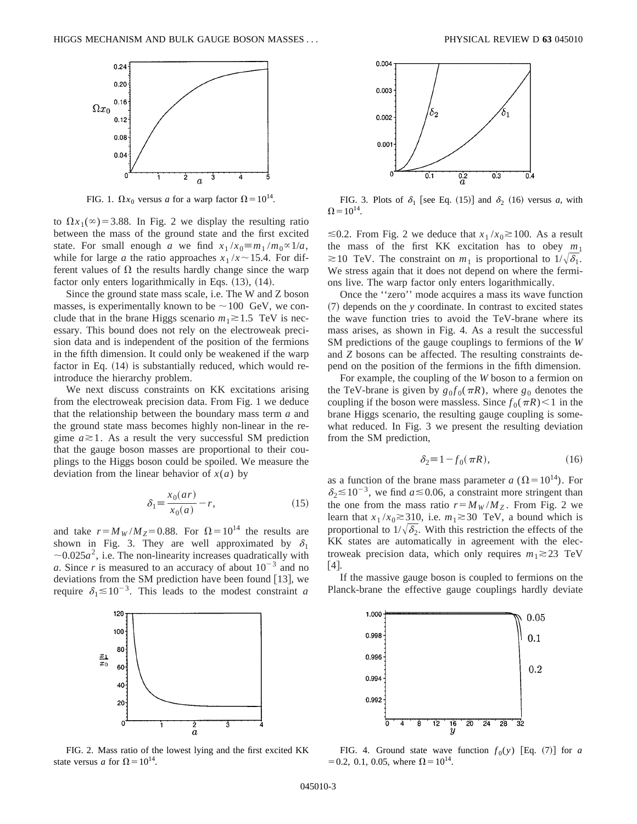

FIG. 1.  $\Omega x_0$  versus *a* for a warp factor  $\Omega = 10^{14}$ .

to  $\Omega x_1(\infty) = 3.88$ . In Fig. 2 we display the resulting ratio between the mass of the ground state and the first excited state. For small enough *a* we find  $x_1/x_0 \equiv m_1/m_0 \propto 1/a$ , while for large *a* the ratio approaches  $x_1/x \sim 15.4$ . For different values of  $\Omega$  the results hardly change since the warp factor only enters logarithmically in Eqs.  $(13)$ ,  $(14)$ .

Since the ground state mass scale, i.e. The W and Z boson masses, is experimentally known to be  $\sim$  100 GeV, we conclude that in the brane Higgs scenario  $m_1 \geq 1.5$  TeV is necessary. This bound does not rely on the electroweak precision data and is independent of the position of the fermions in the fifth dimension. It could only be weakened if the warp factor in Eq.  $(14)$  is substantially reduced, which would reintroduce the hierarchy problem.

We next discuss constraints on KK excitations arising from the electroweak precision data. From Fig. 1 we deduce that the relationship between the boundary mass term *a* and the ground state mass becomes highly non-linear in the regime  $a \ge 1$ . As a result the very successful SM prediction that the gauge boson masses are proportional to their couplings to the Higgs boson could be spoiled. We measure the deviation from the linear behavior of  $x(a)$  by

$$
\delta_1 \equiv \frac{x_0(ar)}{x_0(a)} - r,\tag{15}
$$

and take  $r = M_W/M_Z = 0.88$ . For  $\Omega = 10^{14}$  the results are shown in Fig. 3. They are well approximated by  $\delta_1$  $\sim$ 0.025 $a^2$ , i.e. The non-linearity increases quadratically with *a*. Since *r* is measured to an accuracy of about  $10^{-3}$  and no deviations from the SM prediction have been found  $[13]$ , we require  $\delta_1 \leq 10^{-3}$ . This leads to the modest constraint *a* 



FIG. 2. Mass ratio of the lowest lying and the first excited KK state versus *a* for  $\Omega = 10^{14}$ .



FIG. 3. Plots of  $\delta_1$  [see Eq. (15)] and  $\delta_2$  (16) versus *a*, with  $\Omega = 10^{14}$ .

≤0.2. From Fig. 2 we deduce that  $x_1/x_0 \ge 100$ . As a result the mass of the first KK excitation has to obey  $m_1$  $\approx$  10 TeV. The constraint on  $m_1$  is proportional to  $1/\sqrt{\delta_1}$ . We stress again that it does not depend on where the fermions live. The warp factor only enters logarithmically.

Once the ''zero'' mode acquires a mass its wave function ~7! depends on the *y* coordinate. In contrast to excited states the wave function tries to avoid the TeV-brane where its mass arises, as shown in Fig. 4. As a result the successful SM predictions of the gauge couplings to fermions of the *W* and *Z* bosons can be affected. The resulting constraints depend on the position of the fermions in the fifth dimension.

For example, the coupling of the *W* boson to a fermion on the TeV-brane is given by  $g_0 f_0(\pi R)$ , where  $g_0$  denotes the coupling if the boson were massless. Since  $f_0(\pi R) < 1$  in the brane Higgs scenario, the resulting gauge coupling is somewhat reduced. In Fig. 3 we present the resulting deviation from the SM prediction,

$$
\delta_2 \equiv 1 - f_0(\pi R),\tag{16}
$$

as a function of the brane mass parameter *a* ( $\Omega = 10^{14}$ ). For  $\delta_2$   $\lesssim$  10<sup>-3</sup>, we find *a*  $\lesssim$  0.06, a constraint more stringent than the one from the mass ratio  $r = M_W/M_Z$ . From Fig. 2 we learn that  $x_1/x_0 \ge 310$ , i.e.  $m_1 \ge 30$  TeV, a bound which is proportional to  $1/\sqrt{\delta_2}$ . With this restriction the effects of the KK states are automatically in agreement with the electroweak precision data, which only requires  $m_1 \gtrsim 23$  TeV  $[4]$ .

If the massive gauge boson is coupled to fermions on the Planck-brane the effective gauge couplings hardly deviate



FIG. 4. Ground state wave function  $f_0(y)$  [Eq. (7)] for *a*  $= 0.2, 0.1, 0.05$ , where  $\Omega = 10^{14}$ .